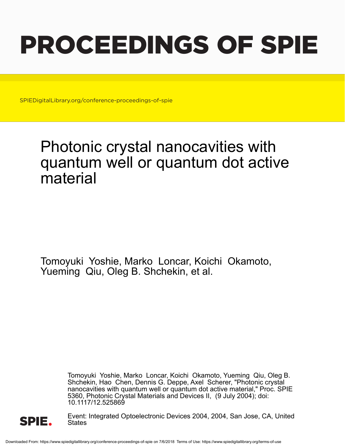# PROCEEDINGS OF SPIE

SPIEDigitalLibrary.org/conference-proceedings-of-spie

## Photonic crystal nanocavities with quantum well or quantum dot active material

Tomoyuki Yoshie, Marko Loncar, Koichi Okamoto, Yueming Qiu, Oleg B. Shchekin, et al.

> Tomoyuki Yoshie, Marko Loncar, Koichi Okamoto, Yueming Qiu, Oleg B. Shchekin, Hao Chen, Dennis G. Deppe, Axel Scherer, "Photonic crystal nanocavities with quantum well or quantum dot active material," Proc. SPIE 5360, Photonic Crystal Materials and Devices II, (9 July 2004); doi: 10.1117/12.525869



Event: Integrated Optoelectronic Devices 2004, 2004, San Jose, CA, United States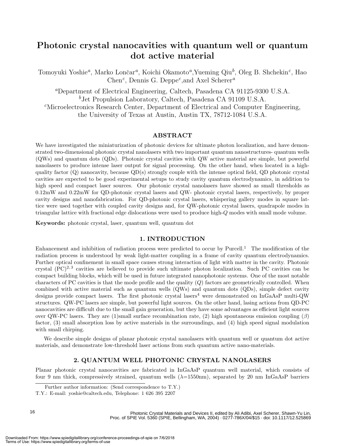### **Photonic crystal nanocavities with quantum well or quantum dot active material**

Tomoyuki Yoshie<sup>a</sup>, Marko Lončar<sup>a</sup>, Koichi Okamoto<sup>a</sup>, Yueming Qiu<sup>b</sup>, Oleg B. Shchekin<sup>c</sup>, Hao Chen*c*, Dennis G. Deppe*c*,and Axel Scherer*<sup>a</sup>*

*<sup>a</sup>*Department of Electrical Engineering, Caltech, Pasadena CA 91125-9300 U.S.A. *<sup>b</sup>*Jet Propulsion Laboratory, Caltech, Pasadena CA 91109 U.S.A. *<sup>c</sup>*Microelectronics Research Center, Department of Electrical and Computer Engineering, the University of Texas at Austin, Austin TX, 78712-1084 U.S.A.

#### **ABSTRACT**

We have investigated the miniaturization of photonic devices for ultimate photon localization, and have demonstrated two-dimensional photonic crystal nanolasers with two important quantum nanostructures- quantum wells (QWs) and quantum dots (QDs). Photonic crystal cavities with QW active material are simple, but powerful nanolasers to produce intense laser output for signal processing. On the other hand, when located in a highquality factor  $(Q)$  nanocavity, because  $QD(s)$  strongly couple with the intense optical field,  $QD$  photonic crystal cavities are expected to be good experimental setups to study cavity quantum electrodynamics, in addition to high speed and compact laser sources. Our photonic crystal nanolasers have showed as small thresholds as 0.12mW and 0.22mW for QD-photonic crystal lasers and QW- photonic crystal lasers, respectively, by proper cavity designs and nanofabrication. For QD-photonic crystal lasers, whispering gallery modes in square lattice were used together with coupled cavity designs and, for QW-photonic crystal lasers, quadrapole modes in triangular lattice with fractional edge dislocations were used to produce high-Q modes with small mode volume.

**Keywords:** photonic crystal, laser, quantum well, quantum dot

#### **1. INTRODUCTION**

Enhancement and inhibition of radiation process were predicted to occur by Purcell.<sup>1</sup> The modification of the radiation process is understood by weak light-matter coupling in a frame of cavity quantum electrodynamics. Further optical confinement in small space causes strong interaction of light with matter in the cavity. Photonic crystal  $(PC)^{2,3}$  cavities are believed to provide such ultimate photon localization. Such PC cavities can be compact building blocks, which will be used in future integrated nanophotonic systems. One of the most notable characters of PC cavities is that the mode profile and the quality  $(Q)$  factors are geometrically controlled. When combined with active material such as quantum wells (QWs) and quantum dots (QDs), simple defect cavity designs provide compact lasers. The first photonic crystal lasers<sup>4</sup> were demonstrated on InGaAsP multi-QW structures. QW-PC lasers are simple, but powerful light sources. On the other hand, lasing actions from QD-PC nanocavities are difficult due to the small gain generation, but they have some advantages as efficient light sources over QW-PC lasers. They are (1)small surface recombination rate, (2) high spontaneous emission coupling ( $\beta$ ) factor, (3) small absorption loss by active materials in the surroundings, and (4) high speed signal modulation with small chirping.

We describe simple designs of planar photonic crystal nanolasers with quantum well or quantum dot active materials, and demonstrate low-threshold laser actions from such quantum active nano-materials.

#### **2. QUANTUM WELL PHOTONIC CRYSTAL NANOLASERS**

Planar photonic crystal nanocavities are fabricated in InGaAsP quantum well material, which consists of four 9 nm thick, compressively strained, quantum wells  $(\lambda=1550nm)$ , separated by 20 nm InGaAsP barriers

Further author information: (Send correspondence to T.Y.)

T.Y.: E-mail: yoshie@caltech.edu, Telephone: 1 626 395 2207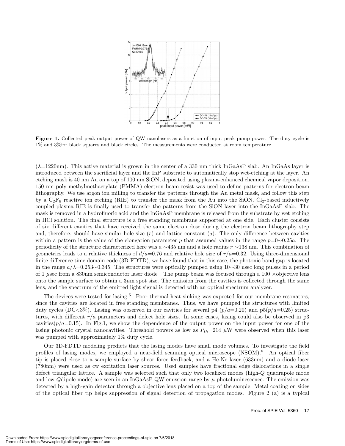

Figure 1. Collected peak output power of QW nanolasers as a function of input peak pump power. The duty cycle is 1% and 3%for black squares and black circles. The measurements were conducted at room temperature.

 $(\lambda=1220$ nm). This active material is grown in the center of a 330 nm thick InGaAsP slab. An InGaAs layer is introduced between the sacrificial layer and the InP substrate to automatically stop wet-etching at the layer. An etching mask is 40 nm Au on a top of 100 nm SiON, deposited using plasma-enhanced chemical vapor deposition. 150 nm poly methylmethacrylate (PMMA) electron beam resist was used to define patterns for electron-beam lithography. We use argon ion milling to transfer the patterns through the Au metal mask, and follow this step by a  $C_2F_6$  reactive ion etching (RIE) to transfer the mask from the Au into the SiON. Cl<sub>2</sub>-based inductively coupled plasma RIE is finally used to transfer the patterns from the SiON layer into the InGaAsP slab. The mask is removed in a hydrofluoric acid and the InGaAsP membrane is released from the substrate by wet etching in HCl solution. The final structure is a free standing membrane supported at one side. Each cluster consists of six different cavities that have received the same electron dose during the electron beam lithography step and, therefore, should have similar hole size  $(r)$  and lattice constant  $(a)$ . The only difference between cavities within a pattern is the value of the elongation parameter p that assumed values in the range  $p=0~0.25a$ . The periodicity of the structure characterized here was a ∼435 nm and a hole radius r ∼138 nm. This combination of geometries leads to a relative thickness of  $d/a=0.76$  and relative hole size of  $r/a=0.32$ . Using three-dimensional finite difference time domain code (3D-FDTD), we have found that in this case, the photonic band gap is located in the range  $a/\lambda=0.253\sim0.345$ . The structures were optically pumped using 10∼30 nsec long pulses in a period of 1  $\mu$ sec from a 830nm semiconductor laser diode. The pump beam was focused through a 100  $\times$ objective lens onto the sample surface to obtain a  $3\mu$ m spot size. The emission from the cavities is collected through the same lens, and the spectrum of the emitted light signal is detected with an optical spectrum analyzer.

The devices were tested for lasing.<sup>5</sup> Poor thermal heat sinking was expected for our membrane resonators, since the cavities are located in free standing membranes. Thus, we have pumped the structures with limited duty cycles (DC<3%). Lasing was observed in our cavities for several p4 ( $p/a=0.20$ ) and p5( $p/a=0.25$ ) structures, with different  $r/a$  parameters and defect hole sizes. In some cases, lasing could also be observed in p3 cavities( $p/a=0.15$ ). In Fig.1, we show the dependence of the output power on the input power for one of the lasing photonic crystal nanocavities. Threshold powers as low as  $P_{th}=214 \mu$ W were observed when this laser was pumped with approximately 1% duty cycle.

Our 3D-FDTD modeling predicts that the lasing modes have small mode volumes. To investigate the field profiles of lasing modes, we employed a near-field scanning optical microscope (NSOM).<sup>6</sup> An optical fiber tip is placed close to a sample surface by shear force feedback, and a He-Ne laser (633nm) and a diode laser (780nm) were used as cw excitation laser sources. Used samples have fractional edge dislocations in a single defect triangular lattice. A sample was selected such that only two localized modes (high-Q quadrapole mode and low-Qdipole mode) are seen in an InGaAsP QW emission range by  $\mu$ -photoluminescence. The emission was detected by a high-gain detector through a objective lens placed on a top of the sample. Metal coating on sides of the optical fiber tip helps suppression of signal detection of propagation modes. Figure 2 (a) is a typical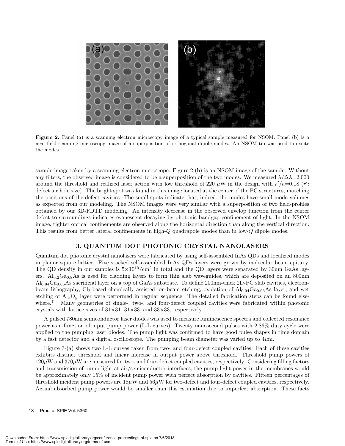

**Figure 2.** Panel (a) is a scanning electron microscopy image of a typical sample measured for NSOM. Panel (b) is a near-field scanning microscopy image of a superposition of orthogonal dipole modes. An NSOM tip was used to excite the modes.

sample image taken by a scanning electron microscope. Figure 2 (b) is an NSOM image of the sample. Without any filters, the observed image is considered to be a superposition of the two modes. We measured  $\lambda/\Delta\lambda=2,000$ around the threshold and realized laser action with low threshold of 220  $\mu$ W in the design with  $r'/a=0.18$  (r': defect air hole size). The bright spot was found in this image located at the center of the PC structures, matching the positions of the defect cavities. The small spots indicate that, indeed, the modes have small mode volumes as expected from our modeling. The NSOM images were very similar with a superposition of two field-profiles obtained by our 3D-FDTD modeling. An intensity decrease in the observed envelop function from the center defect to surroundings indicates evanescent decaying by photonic bandgap confinement of light. In the NSOM image, tighter optical confinements are observed along the horizontal direction than along the vertical direction. This results from better lateral confinements in high-Q quadrapole modes than in low-Q dipole modes.

#### **3. QUANTUM DOT PHOTONIC CRYSTAL NANOLASERS**

Quantum dot photonic crystal nanolasers were fabricated by using self-assembled InAs QDs and localized modes in planar square lattice. Five stacked self-assembled InAs QDs layers were grown by molecular beam epitaxy. The QD density in our samples is  $5\times10^{10}/\text{cm}^2$  in total and the QD layers were separated by 30nm GaAs layers. Al<sub>0.2</sub>Ga<sub>0.8</sub>As is used for cladding layers to form thin slab waveguides, which are deposited on an 800nm  $\rm Al_{0.94}Ga_{0.06}As$  sacrificial layer on a top of GaAs substrate. To define 200nm-thick 2D-PC slab cavities, electronbeam lithography, Cl<sub>2</sub>-based chemically assisted ion-beam etching, oxidation of  $\text{Al}_{0.94}\text{Ga}_{0.06}\text{As}$  layer, and wet etching of  $Al_xO_y$  layer were performed in regular sequence. The detailed fabrication steps can be found elsewhere.<sup>7</sup> Many geometries of single-, two-, and four-defect coupled cavities were fabricated within photonic crystals with lattice sizes of  $31\times31$ ,  $31\times33$ , and  $33\times33$ , respectively.

A pulsed 780nm semiconductor laser diodes was used to measure luminescence spectra and collected resonance power as a function of input pump power (L-L curves). Twenty nanosecond pulses with 2.86% duty cycle were applied to the pumping laser diodes. The pump light was confirmed to have good pulse shapes in time domain by a fast detector and a digital oscilloscope. The pumping beam diameter was varied up to  $4\mu$ m.

Figure 3-(a) shows two L-L curves taken from two- and four-defect coupled cavities. Each of these cavities exhibits distinct threshold and linear increase in output power above threshold. Threshold pump powers of  $120\mu$ W and  $370\mu$ W are measured for two- and four-defect coupled cavities, respectively. Considering filling factors and transmission of pump light at air/semiconductor interfaces, the pump light power in the membranes would be approximately only 15% of incident pump power with perfect absorption by cavities. Fifteen percentages of threshold incident pump powers are  $18\mu$ W and  $56\mu$ W for two-defect and four-defect coupled cavities, respectively. Actual absorbed pump power would be smaller than this estimation due to imperfect absorption. These facts

18 Proc. of SPIE Vol. 5360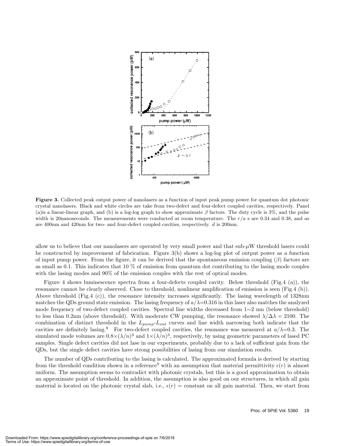

**Figure 3.** Collected peak output power of nanolasers as a function of input peak pump power for quantum dot photonic crystal nanolasers. Black and white circles are take from two-defect and four-defect coupled cavities, respectively. Panel (a) is a linear-linear graph, and (b) is a log-log graph to show approximate  $\beta$  factors. The duty cycle is 3%, and the pulse width is 20nanoseconds. The measurements were conducted at room temperature. The  $r/a$  s are 0.34 and 0.38, and as are 400nm and 420nm for two- and four-defect coupled cavities, respectively. d is 200nm.

allow us to believe that our nanolasers are operated by very small power and that sub- $\mu$ W threshold lasers could be constructed by improvement of fabrication. Figure 3(b) shows a log-log plot of output power as a function of input pump power. From the figure, it can be derived that the spontaneous emission coupling  $(\beta)$  factors are as small as 0.1. This indicates that 10 % of emission from quantum dot contributing to the lasing mode couples with the lasing modes and 90% of the emission couples with the rest of optical modes.

Figure 4 shows luminescence spectra from a four-defects coupled cavity. Below threshold (Fig.4 (a)), the resonance cannot be clearly observed. Close to threshold, nonlinear amplification of emission is seen (Fig.4 (b)). Above threshold (Fig.4 (c)), the resonance intensity increases significantly. The lasing wavelength of 1328nm matches the QDs ground state emission. The lasing frequency of  $a/\lambda = 0.316$  in this laser also matches the analyzed mode frequency of two-defect coupled cavities. Spectral line widths decreased from 1∼2 nm (below threshold) to less than 0.2nm (above threshold). With moderate CW pumping, the resonance showed  $\lambda/\Delta\lambda = 2100$ . The combination of distinct threshold in the  $L_{pump}$ - $L_{out}$  curves and line width narrowing both indicate that the cavities are definitely lasing.<sup>8</sup> For two-defect coupled cavities, the resonance was measured at  $a/\lambda=0.3$ . The simulated mode volumes are  $0.8\times(\lambda/n)^3$  and  $1\times(\lambda/n)^3$ , respectively, by using geometric parameters of lased PC samples. Single defect cavities did not lase in our experiments, probably due to a lack of sufficient gain from the QDs, but the single defect cavities have strong possibilities of lasing from our simulation results.

The number of QDs contributing to the lasing is calculated. The approximated formula is derived by starting from the threshold condition shown in a reference<sup>9</sup> with an assumption that material permittivity  $\epsilon(r)$  is almost uniform. The assumption seems to contradict with photonic crystals, but this is a good approximation to obtain an approximate point of threshold. In addition, the assumption is also good on our structures, in which all gain material is located on the photonic crystal slab, i.e.,  $\epsilon(r) = \text{constant}$  on all gain material. Then, we start from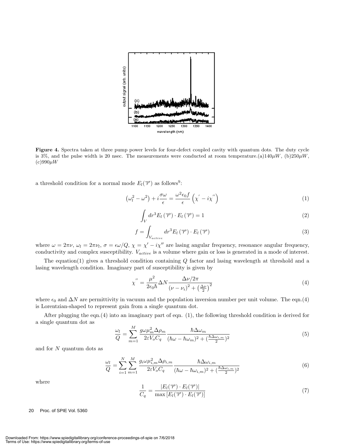

**Figure 4.** Spectra taken at three pump power levels for four-defect coupled cavity with quantum dots. The duty cycle is 3%, and the pulse width is 20 nsec. The measurements were conducted at room temperature.(a)140 $\mu$ W, (b)250 $\mu$ W,  $(c)990\mu W$ 

a threshold condition for a normal mode  $E_l(\vec{r})$  as follows<sup>9</sup>:

$$
\left(\omega_l^2 - \omega^2\right) + i\frac{\sigma\omega}{\epsilon} = \frac{\omega^2\epsilon_0 f}{\epsilon}\left(\chi' - i\chi''\right) \tag{1}
$$

$$
\int_{V} dr^{3} E_{l}(\overrightarrow{r}) \cdot E_{l}(\overrightarrow{r}) = 1
$$
\n(2)

$$
f = \int_{V_{active}} dr^3 E_l(\vec{r}) \cdot E_l(\vec{r}) \tag{3}
$$

where  $\omega = 2\pi\nu$ ,  $\omega_l = 2\pi\nu_l$ ,  $\sigma = \epsilon\omega/Q$ ,  $\chi = \chi' - i\chi''$  are lasing angular frequency, resonance angular frequency, conductivity and complex susceptibility.  $V_{active}$  is a volume where gain or loss is generated in a mode of interest.

The equation(1) gives a threshold condition containing Q factor and lasing wavelength at threshold and a lasing wavelength condition. Imaginary part of susceptibility is given by

$$
\chi'' = \frac{\mu^2}{2\epsilon_0 \hbar} \Delta N \frac{\Delta \nu / 2\pi}{\left(\nu - \nu_i\right)^2 + \left(\frac{\Delta \nu}{2}\right)^2} \tag{4}
$$

where  $\epsilon_0$  and  $\Delta N$  are permittivity in vacuum and the population inversion number per unit volume. The eqn.(4) is Lorentzian-shaped to represent gain from a single quantum dot.

After plugging the eqn.(4) into an imaginary part of eqn. (1), the following threshold condition is derived for a single quantum dot as

$$
\frac{\omega_l}{Q} = \sum_{m=1}^{M} \frac{g\omega\mu_m^2 \Delta\rho_m}{2\varepsilon V_o C_q} \frac{\hbar\Delta\omega_m}{(\hbar\omega - \hbar\omega_m)^2 + (\frac{\hbar\Delta\omega_{i,m}}{2})^2}
$$
(5)

and for  $N$  quantum dots as

$$
\frac{\omega_l}{Q} = \sum_{i=1}^{N} \sum_{m=1}^{M} \frac{g_i \omega \mu_{i,m}^2 \Delta \rho_{i,m}}{2\varepsilon V_o C_q} \frac{\hbar \Delta \omega_{i,m}}{(\hbar \omega - \hbar \omega_{i,m})^2 + (\frac{\hbar \Delta \omega_{i,m}}{2})^2}
$$
(6)

where

$$
\frac{1}{C_q} = \frac{|E_l(\overrightarrow{r}) \cdot E_l(\overrightarrow{r})|}{\max [E_l(\overrightarrow{r}) \cdot E_l(\overrightarrow{r})]}
$$
(7)

20 Proc. of SPIE Vol. 5360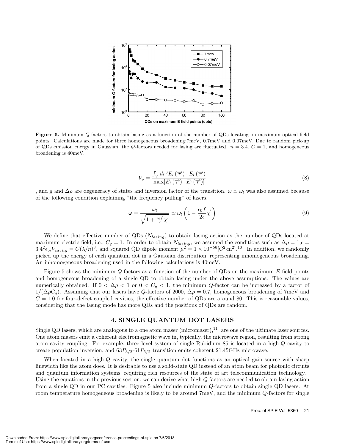

**Figure 5.** Minimum <sup>Q</sup>-factors to obtain lasing as a function of the number of QDs locating on maximum optical field points. Calculations are made for three homogeneous broadening:7meV, 0.7meV and 0.07meV. Due to random pick-up of QDs emission energy in Gaussian, the Q-factors needed for lasing are fluctuated.  $n = 3.4$ ,  $C = 1$ , and homogeneous broadening is 40meV.

$$
V_o = \frac{\int_V dr^3 E_l(\overrightarrow{r}) \cdot E_l(\overrightarrow{r})}{\max[E_l(\overrightarrow{r}) \cdot E_l(\overrightarrow{r})]}
$$
(8)

, and g and  $\Delta \rho$  are degeneracy of states and inversion factor of the transition.  $\omega \simeq \omega_l$  was also assumed because of the following condition explaining "the frequency pulling" of lasers.

$$
\omega = \frac{\omega_l}{\sqrt{1 + \frac{\epsilon_0 f}{\epsilon} \chi'}} \simeq \omega_l \left( 1 - \frac{\epsilon_0 f}{2\epsilon} \chi' \right)
$$
\n(9)

We define that effective number of QDs  $(N_{lasing})$  to obtain lasing action as the number of QDs located at maximum electric field, i.e.,  $C_q = 1$ . In order to obtain  $N_{lasing}$ , we assumed the conditions such as  $\Delta \rho = 1, \epsilon =$  $3.4^{2}\epsilon_{o}$ ,  $V_{cavity} = C(\lambda/n)^{3}$ , and squared QD dipole moment  $\mu^{2} = 1 \times 10^{-56} [\text{C}^{2} \cdot \text{m}^{2}]$ .<sup>10</sup> In addition, we randomly picked up the energy of each quantum dot in a Gaussian distribution, representing inhomogeneous broadening. An inhomogeneous broadening used in the following calculations is 40meV.

Figure 5 shows the minimum Q-factors as a function of the number of QDs on the maximum E field points and homogeneous broadening of a single QD to obtain lasing under the above assumptions. The values are numerically obtained. If  $0 < \Delta \rho < 1$  or  $0 < C_q < 1$ , the minimum Q-factor can be increased by a factor of  $1/(\Delta \rho C_q)$ . Assuming that our lasers have Q-factors of 2000,  $\Delta \rho = 0.7$ , homogeneous broadening of 7meV and  $C = 1.0$  for four-defect coupled cavities, the effective number of QDs are around 80. This is reasonable values, considering that the lasing mode has more QDs and the positions of QDs are random.

#### **4. SINGLE QUANTUM DOT LASERS**

Single QD lasers, which are analogous to a one atom maser (micromaser),  $11$  are one of the ultimate laser sources. One atom masers emit a coherent electromagnetic wave in, typically, the microwave region, resulting from strong atom-cavity coupling. For example, three level system of single Rubidium 85 is located in a high-Q cavity to create population inversion, and  $63P_{3/2}$ - $61P_{5/2}$  transition emits coherent 21.45GHz microwave.

When located in a high-Q cavity, the single quantum dot functions as an optical gain source with sharp linewidth like the atom does. It is desirable to use a solid-state QD instead of an atom beam for photonic circuits and quantum information systems, requiring rich resources of the state of art telecommunication technology. Using the equations in the previous section, we can derive what high  $Q$  factors are needed to obtain lasing action from a single QD in our PC cavities. Figure 5 also include minimum Q-factors to obtain single QD lasers. At room temperature homogeneous broadening is likely to be around 7meV, and the minimum Q-factors for single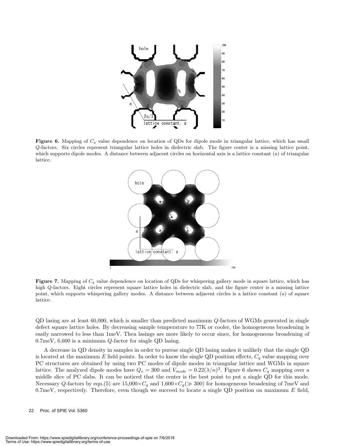

**Figure 6.** Mapping of <sup>C</sup>*<sup>q</sup>* value dependence on location of QDs for dipole mode in triangular lattice, which has small Q-factors. Six circles represent triangular lattice holes in dielectric slab. The figure center is a missing lattice point, which supports dipole modes. A distance between adjacent circles on horizontal axis is a lattice constant  $(a)$  of triangular lattice.



**Figure 7.** Mapping of <sup>C</sup>*<sup>q</sup>* value dependence on location of QDs for whispering gallery mode in square lattice, which has high Q-factors. Eight circles represent square lattice holes in dielectric slab, and the figure center is a missing lattice point, which supports whispering gallery modes. A distance between adjacent circles is a lattice constant (a) of square lattice.

QD lasing are at least 60,000, which is smaller than predicted maximum Q-factors of WGMs generated in single defect square lattice holes. By decreasing sample temperature to 77K or cooler, the homogeneous broadening is easily narrowed to less than 1meV. Then lasings are more likely to occur since, for homogeneous broadening of 0.7meV, 6,600 is a minimum Q-factor for single QD lasing.

A decrease in QD density in samples in order to pursue single QD lasing makes it unlikely that the single QD is located at the maximum E field points. In order to know the single QD position effects,  $C_q$  value mapping over PC structures are obtained by using two PC modes of dipole modes in triangular lattice and WGMs in square lattice. The analyzed dipole modes have  $Q_v = 300$  and  $V_{mode} = 0.22(\lambda/n)^3$ . Figure 6 shows  $C_q$  mapping over a middle slice of PC slabs. It can be noticed that the center is the best point to put a single QD for this mode. Necessary Q-factors by eqn.(5) are  $15,000 \times C_q$  and  $1,600 \times C_q \gg 300$  for homogeneous broadening of 7meV and 0.7meV, respectively. Therefore, even though we succeed to locate a single QD position on maximum  $E$  field,